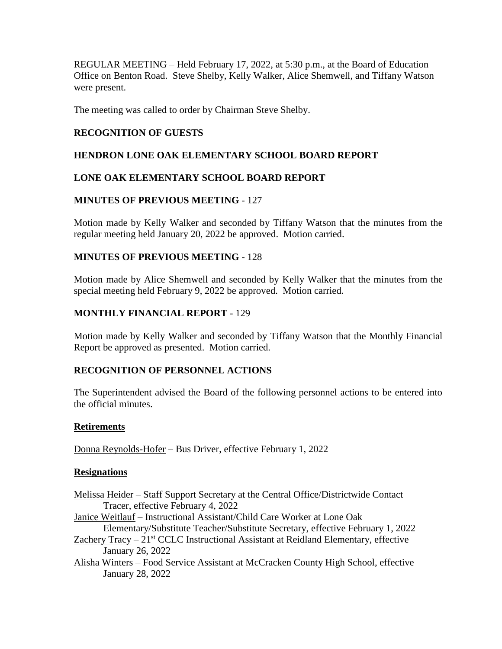REGULAR MEETING – Held February 17, 2022, at 5:30 p.m., at the Board of Education Office on Benton Road. Steve Shelby, Kelly Walker, Alice Shemwell, and Tiffany Watson were present.

The meeting was called to order by Chairman Steve Shelby.

# **RECOGNITION OF GUESTS**

## **HENDRON LONE OAK ELEMENTARY SCHOOL BOARD REPORT**

# **LONE OAK ELEMENTARY SCHOOL BOARD REPORT**

# **MINUTES OF PREVIOUS MEETING** - 127

Motion made by Kelly Walker and seconded by Tiffany Watson that the minutes from the regular meeting held January 20, 2022 be approved. Motion carried.

# **MINUTES OF PREVIOUS MEETING** - 128

Motion made by Alice Shemwell and seconded by Kelly Walker that the minutes from the special meeting held February 9, 2022 be approved. Motion carried.

## **MONTHLY FINANCIAL REPORT** - 129

Motion made by Kelly Walker and seconded by Tiffany Watson that the Monthly Financial Report be approved as presented. Motion carried.

## **RECOGNITION OF PERSONNEL ACTIONS**

The Superintendent advised the Board of the following personnel actions to be entered into the official minutes.

## **Retirements**

Donna Reynolds-Hofer – Bus Driver, effective February 1, 2022

## **Resignations**

- Melissa Heider Staff Support Secretary at the Central Office/Districtwide Contact Tracer, effective February 4, 2022
- Janice Weitlauf Instructional Assistant/Child Care Worker at Lone Oak Elementary/Substitute Teacher/Substitute Secretary, effective February 1, 2022
- Zachery Tracy  $-21<sup>st</sup> CCLC$  Instructional Assistant at Reidland Elementary, effective January 26, 2022
- Alisha Winters Food Service Assistant at McCracken County High School, effective January 28, 2022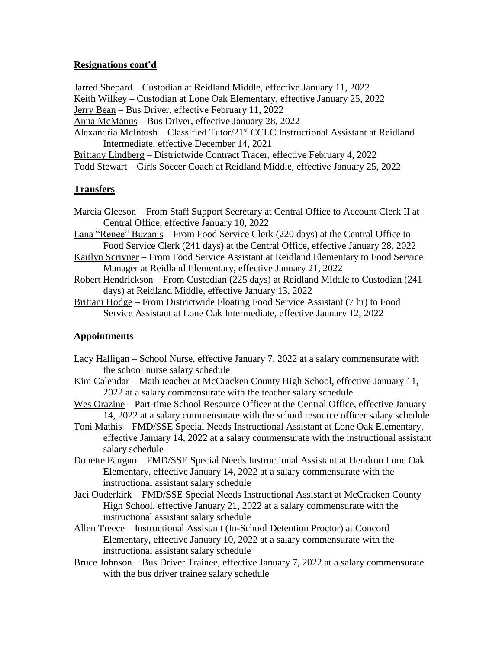# **Resignations cont'd**

Jarred Shepard – Custodian at Reidland Middle, effective January 11, 2022 Keith Wilkey – Custodian at Lone Oak Elementary, effective January 25, 2022 Jerry Bean – Bus Driver, effective February 11, 2022

- Anna McManus Bus Driver, effective January 28, 2022
- Alexandria McIntosh Classified Tutor/21<sup>st</sup> CCLC Instructional Assistant at Reidland Intermediate, effective December 14, 2021
- Brittany Lindberg Districtwide Contract Tracer, effective February 4, 2022 Todd Stewart – Girls Soccer Coach at Reidland Middle, effective January 25, 2022

# **Transfers**

- Marcia Gleeson From Staff Support Secretary at Central Office to Account Clerk II at Central Office, effective January 10, 2022
- Lana "Renee" Buzanis From Food Service Clerk (220 days) at the Central Office to Food Service Clerk (241 days) at the Central Office, effective January 28, 2022
- Kaitlyn Scrivner From Food Service Assistant at Reidland Elementary to Food Service Manager at Reidland Elementary, effective January 21, 2022
- Robert Hendrickson From Custodian (225 days) at Reidland Middle to Custodian (241 days) at Reidland Middle, effective January 13, 2022
- Brittani Hodge From Districtwide Floating Food Service Assistant (7 hr) to Food Service Assistant at Lone Oak Intermediate, effective January 12, 2022

## **Appointments**

- Lacy Halligan School Nurse, effective January 7, 2022 at a salary commensurate with the school nurse salary schedule
- Kim Calendar Math teacher at McCracken County High School, effective January 11, 2022 at a salary commensurate with the teacher salary schedule
- Wes Orazine Part-time School Resource Officer at the Central Office, effective January 14, 2022 at a salary commensurate with the school resource officer salary schedule
- Toni Mathis FMD/SSE Special Needs Instructional Assistant at Lone Oak Elementary, effective January 14, 2022 at a salary commensurate with the instructional assistant salary schedule
- Donette Faugno FMD/SSE Special Needs Instructional Assistant at Hendron Lone Oak Elementary, effective January 14, 2022 at a salary commensurate with the instructional assistant salary schedule
- Jaci Ouderkirk FMD/SSE Special Needs Instructional Assistant at McCracken County High School, effective January 21, 2022 at a salary commensurate with the instructional assistant salary schedule
- Allen Treece Instructional Assistant (In-School Detention Proctor) at Concord Elementary, effective January 10, 2022 at a salary commensurate with the instructional assistant salary schedule
- Bruce Johnson Bus Driver Trainee, effective January 7, 2022 at a salary commensurate with the bus driver trainee salary schedule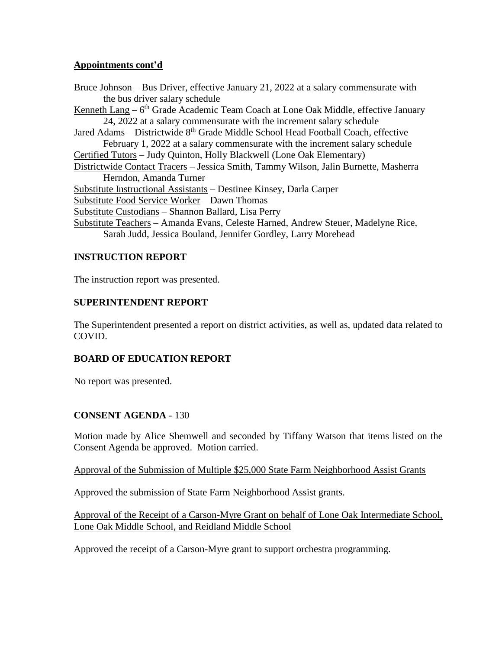# **Appointments cont'd**

Bruce Johnson – Bus Driver, effective January 21, 2022 at a salary commensurate with the bus driver salary schedule Kenneth Lang – 6<sup>th</sup> Grade Academic Team Coach at Lone Oak Middle, effective January 24, 2022 at a salary commensurate with the increment salary schedule Jared Adams – Districtwide 8<sup>th</sup> Grade Middle School Head Football Coach, effective February 1, 2022 at a salary commensurate with the increment salary schedule Certified Tutors – Judy Quinton, Holly Blackwell (Lone Oak Elementary) Districtwide Contact Tracers – Jessica Smith, Tammy Wilson, Jalin Burnette, Masherra Herndon, Amanda Turner Substitute Instructional Assistants – Destinee Kinsey, Darla Carper Substitute Food Service Worker – Dawn Thomas Substitute Custodians – Shannon Ballard, Lisa Perry Substitute Teachers – Amanda Evans, Celeste Harned, Andrew Steuer, Madelyne Rice, Sarah Judd, Jessica Bouland, Jennifer Gordley, Larry Morehead

# **INSTRUCTION REPORT**

The instruction report was presented.

# **SUPERINTENDENT REPORT**

The Superintendent presented a report on district activities, as well as, updated data related to COVID.

# **BOARD OF EDUCATION REPORT**

No report was presented.

# **CONSENT AGENDA** - 130

Motion made by Alice Shemwell and seconded by Tiffany Watson that items listed on the Consent Agenda be approved. Motion carried.

## Approval of the Submission of Multiple \$25,000 State Farm Neighborhood Assist Grants

Approved the submission of State Farm Neighborhood Assist grants.

Approval of the Receipt of a Carson-Myre Grant on behalf of Lone Oak Intermediate School, Lone Oak Middle School, and Reidland Middle School

Approved the receipt of a Carson-Myre grant to support orchestra programming.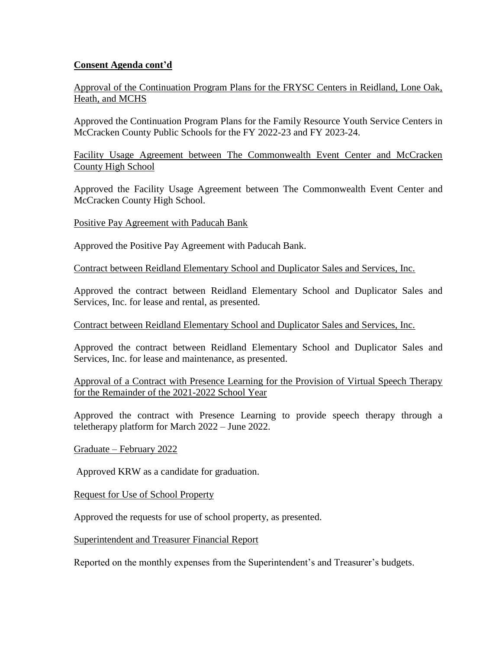# **Consent Agenda cont'd**

Approval of the Continuation Program Plans for the FRYSC Centers in Reidland, Lone Oak, Heath, and MCHS

Approved the Continuation Program Plans for the Family Resource Youth Service Centers in McCracken County Public Schools for the FY 2022-23 and FY 2023-24.

Facility Usage Agreement between The Commonwealth Event Center and McCracken County High School

Approved the Facility Usage Agreement between The Commonwealth Event Center and McCracken County High School.

Positive Pay Agreement with Paducah Bank

Approved the Positive Pay Agreement with Paducah Bank.

Contract between Reidland Elementary School and Duplicator Sales and Services, Inc.

Approved the contract between Reidland Elementary School and Duplicator Sales and Services, Inc. for lease and rental, as presented.

#### Contract between Reidland Elementary School and Duplicator Sales and Services, Inc.

Approved the contract between Reidland Elementary School and Duplicator Sales and Services, Inc. for lease and maintenance, as presented.

Approval of a Contract with Presence Learning for the Provision of Virtual Speech Therapy for the Remainder of the 2021-2022 School Year

Approved the contract with Presence Learning to provide speech therapy through a teletherapy platform for March 2022 – June 2022.

Graduate – February 2022

Approved KRW as a candidate for graduation.

Request for Use of School Property

Approved the requests for use of school property, as presented.

Superintendent and Treasurer Financial Report

Reported on the monthly expenses from the Superintendent's and Treasurer's budgets.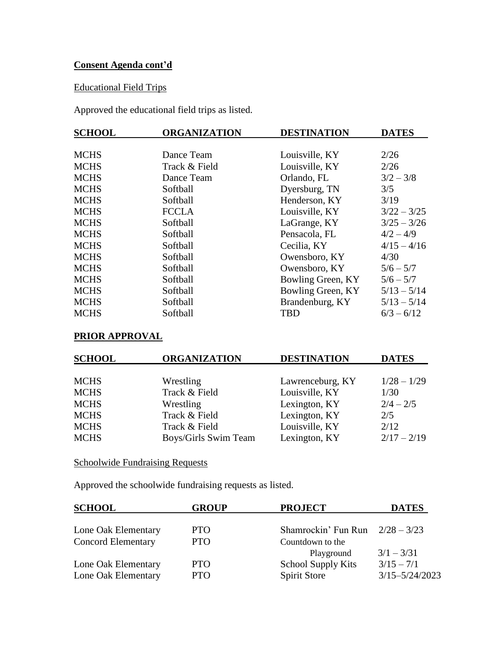# **Consent Agenda cont'd**

# Educational Field Trips

Approved the educational field trips as listed.

| <b>SCHOOL</b> | <b>ORGANIZATION</b> | <b>DESTINATION</b> | <b>DATES</b>  |
|---------------|---------------------|--------------------|---------------|
|               |                     |                    |               |
| <b>MCHS</b>   | Dance Team          | Louisville, KY     | 2/26          |
| <b>MCHS</b>   | Track & Field       | Louisville, KY     | 2/26          |
| <b>MCHS</b>   | Dance Team          | Orlando, FL        | $3/2 - 3/8$   |
| <b>MCHS</b>   | Softball            | Dyersburg, TN      | 3/5           |
| <b>MCHS</b>   | Softball            | Henderson, KY      | 3/19          |
| <b>MCHS</b>   | <b>FCCLA</b>        | Louisville, KY     | $3/22 - 3/25$ |
| <b>MCHS</b>   | Softball            | LaGrange, KY       | $3/25 - 3/26$ |
| <b>MCHS</b>   | Softball            | Pensacola, FL      | $4/2 - 4/9$   |
| <b>MCHS</b>   | Softball            | Cecilia, KY        | $4/15 - 4/16$ |
| <b>MCHS</b>   | Softball            | Owensboro, KY      | 4/30          |
| <b>MCHS</b>   | Softball            | Owensboro, KY      | $5/6 - 5/7$   |
| <b>MCHS</b>   | Softball            | Bowling Green, KY  | $5/6 - 5/7$   |
| <b>MCHS</b>   | Softball            | Bowling Green, KY  | $5/13 - 5/14$ |
| <b>MCHS</b>   | Softball            | Brandenburg, KY    | $5/13 - 5/14$ |
| <b>MCHS</b>   | Softball            | <b>TBD</b>         | $6/3 - 6/12$  |

# **PRIOR APPROVAL**

| <b>SCHOOL</b> | <b>ORGANIZATION</b>  | <b>DESTINATION</b> | <b>DATES</b>  |
|---------------|----------------------|--------------------|---------------|
|               |                      |                    |               |
| <b>MCHS</b>   | Wrestling            | Lawrenceburg, KY   | $1/28 - 1/29$ |
| <b>MCHS</b>   | Track & Field        | Louisville, KY     | 1/30          |
| <b>MCHS</b>   | Wrestling            | Lexington, KY      | $2/4 - 2/5$   |
| <b>MCHS</b>   | Track & Field        | Lexington, KY      | 2/5           |
| <b>MCHS</b>   | Track & Field        | Louisville, KY     | 2/12          |
| <b>MCHS</b>   | Boys/Girls Swim Team | Lexington, KY      | $2/17 - 2/19$ |
|               |                      |                    |               |

Schoolwide Fundraising Requests

Approved the schoolwide fundraising requests as listed.

| <b>SCHOOL</b>             | <b>GROUP</b> | <b>PROJECT</b>                    | <b>DATES</b>       |
|---------------------------|--------------|-----------------------------------|--------------------|
| Lone Oak Elementary       | PTO          | Shamrockin' Fun Run $2/28 - 3/23$ |                    |
| <b>Concord Elementary</b> | PTO          | Countdown to the                  |                    |
|                           |              | Playground                        | $3/1 - 3/31$       |
| Lone Oak Elementary       | <b>PTO</b>   | <b>School Supply Kits</b>         | $3/15 - 7/1$       |
| Lone Oak Elementary       | <b>PTO</b>   | <b>Spirit Store</b>               | $3/15 - 5/24/2023$ |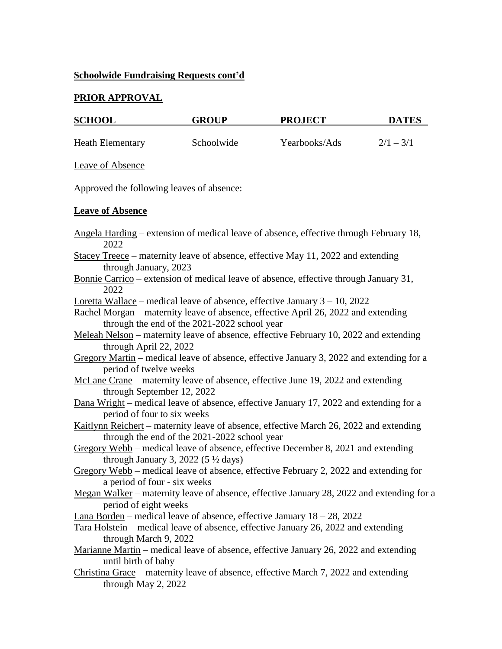# **Schoolwide Fundraising Requests cont'd**

# **PRIOR APPROVAL**

| <b>SCHOOL</b>                             | <b>GROUP</b>                                   | <b>PROJECT</b>                                                                                                                                                      | <b>DATES</b> |
|-------------------------------------------|------------------------------------------------|---------------------------------------------------------------------------------------------------------------------------------------------------------------------|--------------|
| <b>Heath Elementary</b>                   | Schoolwide                                     | Yearbooks/Ads                                                                                                                                                       | $2/1 - 3/1$  |
| Leave of Absence                          |                                                |                                                                                                                                                                     |              |
| Approved the following leaves of absence: |                                                |                                                                                                                                                                     |              |
| <b>Leave of Absence</b>                   |                                                |                                                                                                                                                                     |              |
| 2022                                      |                                                | Angela Harding – extension of medical leave of absence, effective through February 18,                                                                              |              |
| through January, 2023                     |                                                | Stacey Treece - maternity leave of absence, effective May 11, 2022 and extending                                                                                    |              |
| 2022                                      |                                                | <u>Bonnie Carrico</u> – extension of medical leave of absence, effective through January 31,                                                                        |              |
|                                           | through the end of the 2021-2022 school year   | Loretta Wallace – medical leave of absence, effective January $3 - 10$ , 2022<br>Rachel Morgan – maternity leave of absence, effective April 26, 2022 and extending |              |
| through April 22, 2022                    |                                                | Meleah Nelson - maternity leave of absence, effective February 10, 2022 and extending                                                                               |              |
| period of twelve weeks                    |                                                | Gregory Martin – medical leave of absence, effective January 3, 2022 and extending for a                                                                            |              |
| through September 12, 2022                |                                                | McLane Crane – maternity leave of absence, effective June 19, 2022 and extending                                                                                    |              |
| period of four to six weeks               |                                                | Dana Wright – medical leave of absence, effective January 17, 2022 and extending for a                                                                              |              |
|                                           | through the end of the 2021-2022 school year   | Kaitlynn Reichert – maternity leave of absence, effective March 26, 2022 and extending                                                                              |              |
|                                           | through January 3, 2022 (5 $\frac{1}{2}$ days) | Gregory Webb – medical leave of absence, effective December 8, 2021 and extending                                                                                   |              |
| a period of four - six weeks              |                                                | Gregory Webb – medical leave of absence, effective February 2, 2022 and extending for                                                                               |              |
| period of eight weeks                     |                                                | Megan Walker – maternity leave of absence, effective January 28, 2022 and extending for a                                                                           |              |
|                                           |                                                | <b>Lana Borden</b> – medical leave of absence, effective January $18 - 28$ , $2022$                                                                                 |              |
| through March 9, 2022                     |                                                | Tara Holstein – medical leave of absence, effective January 26, 2022 and extending                                                                                  |              |
| until birth of baby                       |                                                | Marianne Martin – medical leave of absence, effective January 26, 2022 and extending                                                                                |              |
| through May 2, 2022                       |                                                | Christina Grace – maternity leave of absence, effective March 7, 2022 and extending                                                                                 |              |
|                                           |                                                |                                                                                                                                                                     |              |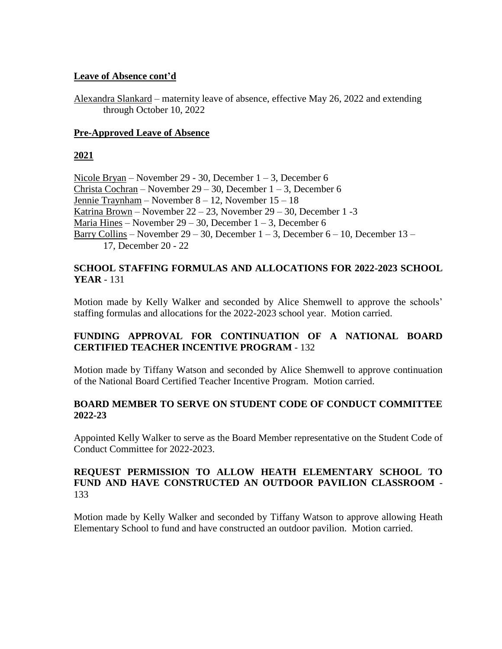# **Leave of Absence cont'd**

Alexandra Slankard – maternity leave of absence, effective May 26, 2022 and extending through October 10, 2022

# **Pre-Approved Leave of Absence**

# **2021**

Nicole Bryan – November 29 - 30, December 1 – 3, December 6 Christa Cochran – November  $29 - 30$ , December  $1 - 3$ , December 6 Jennie Traynham – November 8 – 12, November 15 – 18 Katrina Brown – November 22 – 23, November 29 – 30, December 1 -3 Maria Hines – November  $29 - 30$ , December  $1 - 3$ , December 6 Barry Collins – November 29 – 30, December  $1 - 3$ , December  $6 - 10$ , December  $13 -$ 17, December 20 - 22

# **SCHOOL STAFFING FORMULAS AND ALLOCATIONS FOR 2022-2023 SCHOOL YEAR** - 131

Motion made by Kelly Walker and seconded by Alice Shemwell to approve the schools' staffing formulas and allocations for the 2022-2023 school year. Motion carried.

# **FUNDING APPROVAL FOR CONTINUATION OF A NATIONAL BOARD CERTIFIED TEACHER INCENTIVE PROGRAM** - 132

Motion made by Tiffany Watson and seconded by Alice Shemwell to approve continuation of the National Board Certified Teacher Incentive Program. Motion carried.

## **BOARD MEMBER TO SERVE ON STUDENT CODE OF CONDUCT COMMITTEE 2022-23**

Appointed Kelly Walker to serve as the Board Member representative on the Student Code of Conduct Committee for 2022-2023.

# **REQUEST PERMISSION TO ALLOW HEATH ELEMENTARY SCHOOL TO FUND AND HAVE CONSTRUCTED AN OUTDOOR PAVILION CLASSROOM** - 133

Motion made by Kelly Walker and seconded by Tiffany Watson to approve allowing Heath Elementary School to fund and have constructed an outdoor pavilion. Motion carried.